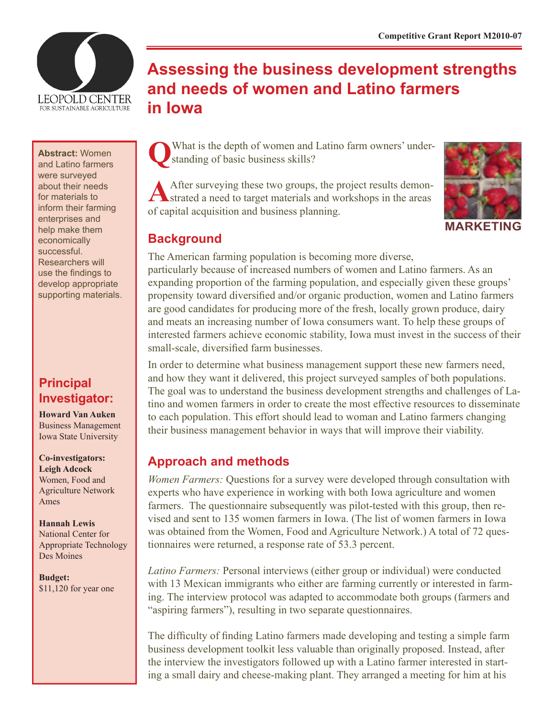

**Abstract:** Women and Latino farmers were surveyed about their needs for materials to inform their farming enterprises and help make them economically successful. Researchers will use the findings to develop appropriate supporting materials.

## **Principal Investigator:**

**Howard Van Auken** Business Management Iowa State University

**Co-investigators: Leigh Adcock** Women, Food and Agriculture Network Ames

**Hannah Lewis** National Center for Appropriate Technology Des Moines

**Budget:** \$11,120 for year one

# **Assessing the business development strengths and needs of women and Latino farmers in Iowa**

What is the depth of women and Latino farm owners' understanding of basic business skills?

After surveying these two groups, the project results demon-<br>strated a need to target materials and workshops in the areas of capital acquisition and business planning.



**MARKETING**

## **Background**

The American farming population is becoming more diverse, particularly because of increased numbers of women and Latino farmers. As an expanding proportion of the farming population, and especially given these groups' propensity toward diversified and/or organic production, women and Latino farmers are good candidates for producing more of the fresh, locally grown produce, dairy and meats an increasing number of Iowa consumers want. To help these groups of interested farmers achieve economic stability, Iowa must invest in the success of their small-scale, diversified farm businesses.

In order to determine what business management support these new farmers need, and how they want it delivered, this project surveyed samples of both populations. The goal was to understand the business development strengths and challenges of Latino and women farmers in order to create the most effective resources to disseminate to each population. This effort should lead to woman and Latino farmers changing their business management behavior in ways that will improve their viability.

## **Approach and methods**

*Women Farmers:* Questions for a survey were developed through consultation with experts who have experience in working with both Iowa agriculture and women farmers. The questionnaire subsequently was pilot-tested with this group, then revised and sent to 135 women farmers in Iowa. (The list of women farmers in Iowa was obtained from the Women, Food and Agriculture Network.) A total of 72 questionnaires were returned, a response rate of 53.3 percent.

*Latino Farmers:* Personal interviews (either group or individual) were conducted with 13 Mexican immigrants who either are farming currently or interested in farming. The interview protocol was adapted to accommodate both groups (farmers and "aspiring farmers"), resulting in two separate questionnaires.

The difficulty of finding Latino farmers made developing and testing a simple farm business development toolkit less valuable than originally proposed. Instead, after the interview the investigators followed up with a Latino farmer interested in starting a small dairy and cheese-making plant. They arranged a meeting for him at his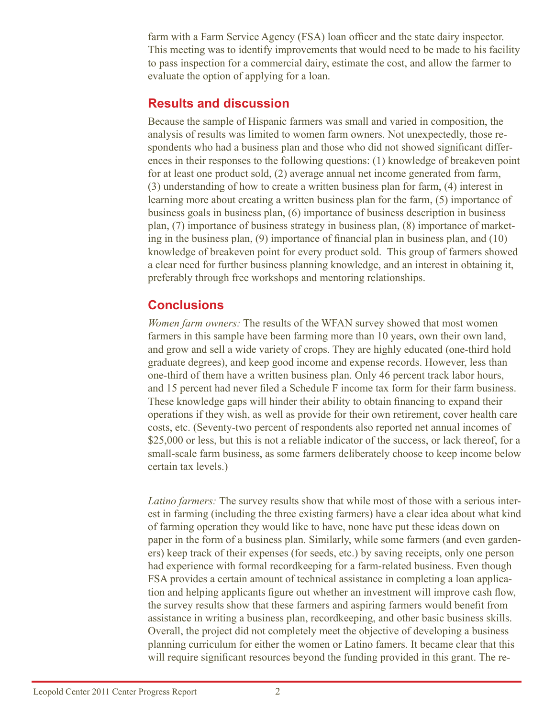farm with a Farm Service Agency (FSA) loan officer and the state dairy inspector. This meeting was to identify improvements that would need to be made to his facility to pass inspection for a commercial dairy, estimate the cost, and allow the farmer to evaluate the option of applying for a loan.

#### **Results and discussion**

Because the sample of Hispanic farmers was small and varied in composition, the analysis of results was limited to women farm owners. Not unexpectedly, those respondents who had a business plan and those who did not showed significant differences in their responses to the following questions: (1) knowledge of breakeven point for at least one product sold, (2) average annual net income generated from farm, (3) understanding of how to create a written business plan for farm, (4) interest in learning more about creating a written business plan for the farm, (5) importance of business goals in business plan, (6) importance of business description in business plan, (7) importance of business strategy in business plan, (8) importance of marketing in the business plan, (9) importance of financial plan in business plan, and (10) knowledge of breakeven point for every product sold. This group of farmers showed a clear need for further business planning knowledge, and an interest in obtaining it, preferably through free workshops and mentoring relationships.

## **Conclusions**

*Women farm owners:* The results of the WFAN survey showed that most women farmers in this sample have been farming more than 10 years, own their own land, and grow and sell a wide variety of crops. They are highly educated (one-third hold graduate degrees), and keep good income and expense records. However, less than one-third of them have a written business plan. Only 46 percent track labor hours, and 15 percent had never filed a Schedule F income tax form for their farm business. These knowledge gaps will hinder their ability to obtain financing to expand their operations if they wish, as well as provide for their own retirement, cover health care costs, etc. (Seventy-two percent of respondents also reported net annual incomes of \$25,000 or less, but this is not a reliable indicator of the success, or lack thereof, for a small-scale farm business, as some farmers deliberately choose to keep income below certain tax levels.)

*Latino farmers:* The survey results show that while most of those with a serious interest in farming (including the three existing farmers) have a clear idea about what kind of farming operation they would like to have, none have put these ideas down on paper in the form of a business plan. Similarly, while some farmers (and even gardeners) keep track of their expenses (for seeds, etc.) by saving receipts, only one person had experience with formal recordkeeping for a farm-related business. Even though FSA provides a certain amount of technical assistance in completing a loan application and helping applicants figure out whether an investment will improve cash flow, the survey results show that these farmers and aspiring farmers would benefit from assistance in writing a business plan, recordkeeping, and other basic business skills. Overall, the project did not completely meet the objective of developing a business planning curriculum for either the women or Latino famers. It became clear that this will require significant resources beyond the funding provided in this grant. The re